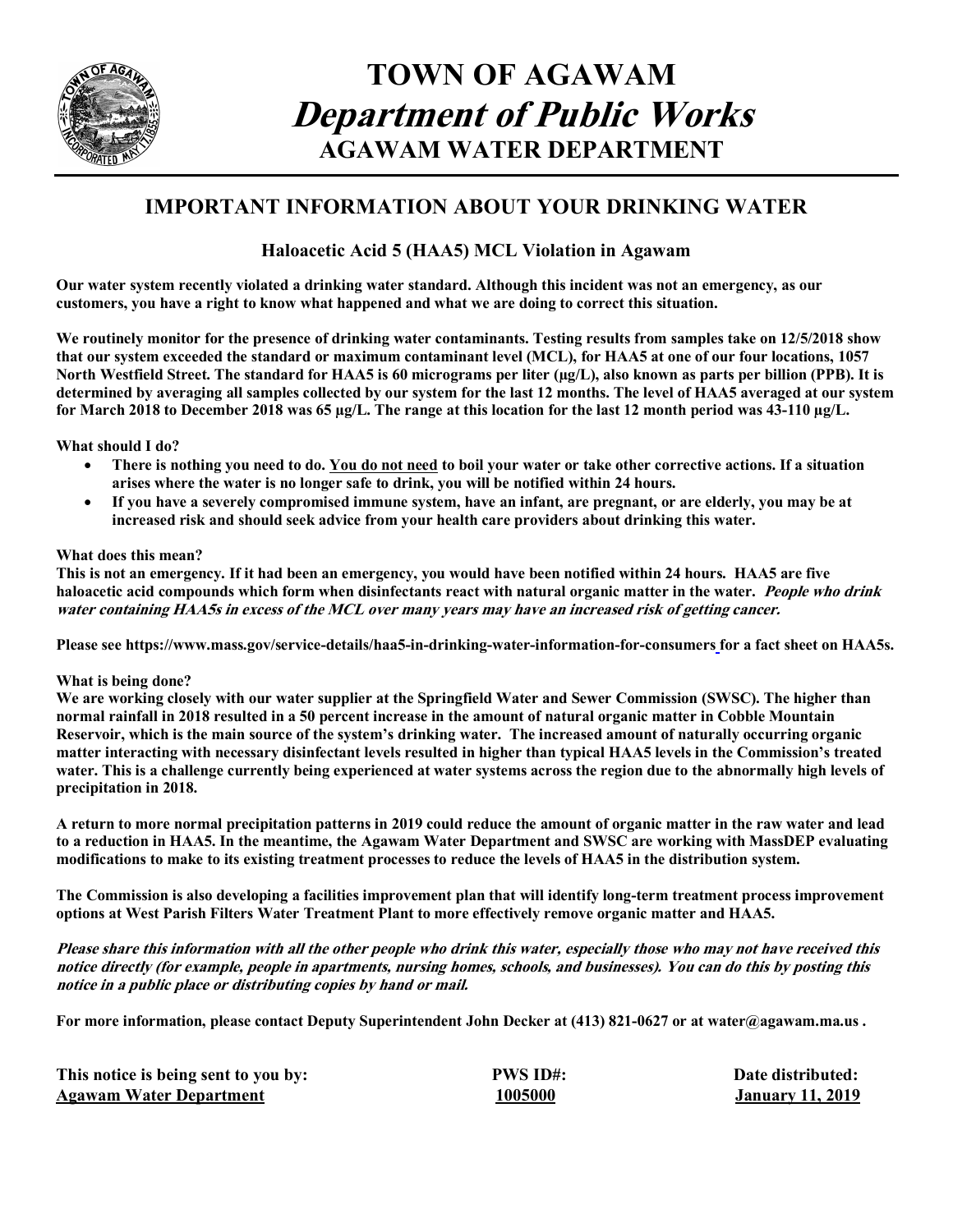

# **TOWN OF AGAWAM Department of Public Works AGAWAM WATER DEPARTMENT**

## **IMPORTANT INFORMATION ABOUT YOUR DRINKING WATER**

### **Haloacetic Acid 5 (HAA5) MCL Violation in Agawam**

**Our water system recently violated a drinking water standard. Although this incident was not an emergency, as our customers, you have a right to know what happened and what we are doing to correct this situation.**

**We routinely monitor for the presence of drinking water contaminants. Testing results from samples take on 12/5/2018 show that our system exceeded the standard or maximum contaminant level (MCL), for HAA5 at one of our four locations, 1057 North Westfield Street. The standard for HAA5 is 60 micrograms per liter (µg/L), also known as parts per billion (PPB). It is determined by averaging all samples collected by our system for the last 12 months. The level of HAA5 averaged at our system for March 2018 to December 2018 was 65 µg/L. The range at this location for the last 12 month period was 43-110 µg/L.**

#### **What should I do?**

- **There is nothing you need to do. You do not need to boil your water or take other corrective actions. If a situation arises where the water is no longer safe to drink, you will be notified within 24 hours.**
- **If you have a severely compromised immune system, have an infant, are pregnant, or are elderly, you may be at increased risk and should seek advice from your health care providers about drinking this water.**

#### **What does this mean?**

**This is not an emergency. If it had been an emergency, you would have been notified within 24 hours. HAA5 are five haloacetic acid compounds which form when disinfectants react with natural organic matter in the water. People who drink water containing HAA5s in excess of the MCL over many years may have an increased risk of getting cancer.**

**Please see https://www.mass.gov/service-details/haa5-in-drinking-water-information-for-consumers for a fact sheet on HAA5s.**

#### **What is being done?**

**We are working closely with our water supplier at the Springfield Water and Sewer Commission (SWSC). The higher than normal rainfall in 2018 resulted in a 50 percent increase in the amount of natural organic matter in Cobble Mountain Reservoir, which is the main source of the system's drinking water. The increased amount of naturally occurring organic matter interacting with necessary disinfectant levels resulted in higher than typical HAA5 levels in the Commission's treated water. This is a challenge currently being experienced at water systems across the region due to the abnormally high levels of precipitation in 2018.**

**A return to more normal precipitation patterns in 2019 could reduce the amount of organic matter in the raw water and lead to a reduction in HAA5. In the meantime, the Agawam Water Department and SWSC are working with MassDEP evaluating modifications to make to its existing treatment processes to reduce the levels of HAA5 in the distribution system.** 

**The Commission is also developing a facilities improvement plan that will identify long-term treatment process improvement options at West Parish Filters Water Treatment Plant to more effectively remove organic matter and HAA5.**

**Please share this information with all the other people who drink this water, especially those who may not have received this notice directly (for example, people in apartments, nursing homes, schools, and businesses). You can do this by posting this notice in a public place or distributing copies by hand or mail.**

**For more information, please contact Deputy Superintendent John Decker at (413) 821-0627 or at water@agawam.ma.us .**

| This notice is being sent to you by: | <b>PWS ID#:</b> | Date distributed:       |
|--------------------------------------|-----------------|-------------------------|
| <b>Agawam Water Department</b>       | 1005000         | <b>January 11, 2019</b> |